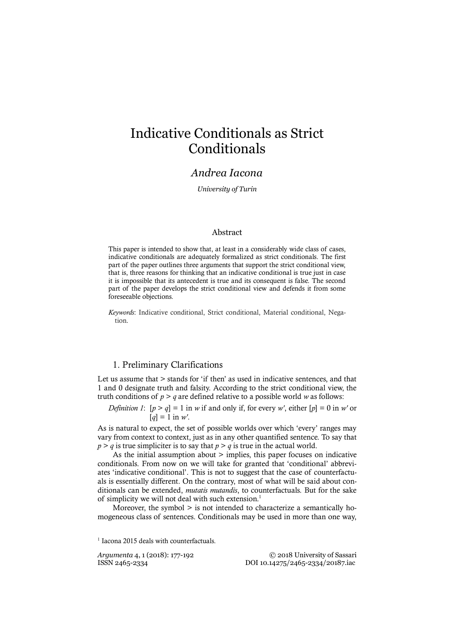# Indicative Conditionals as Strict Conditionals

# *Andrea Iacona*

*University of Turin*

### Abstract

This paper is intended to show that, at least in a considerably wide class of cases, indicative conditionals are adequately formalized as strict conditionals. The first part of the paper outlines three arguments that support the strict conditional view, that is, three reasons for thinking that an indicative conditional is true just in case it is impossible that its antecedent is true and its consequent is false. The second part of the paper develops the strict conditional view and defends it from some foreseeable objections.

*Keywords*: Indicative conditional, Strict conditional, Material conditional, Negation.

# 1. Preliminary Clarifications

Let us assume that  $>$  stands for 'if then' as used in indicative sentences, and that 1 and 0 designate truth and falsity. According to the strict conditional view, the truth conditions of  $p > q$  are defined relative to a possible world *w* as follows:

*Definition 1*:  $[p > q] = 1$  in *w* if and only if, for every *w'*, either  $[p] = 0$  in *w'* or  $[q] = 1$  in *w'*.

As is natural to expect, the set of possible worlds over which 'every' ranges may vary from context to context, just as in any other quantified sentence. To say that  $p > q$  is true simpliciter is to say that  $p > q$  is true in the actual world.

As the initial assumption about  $>$  implies, this paper focuses on indicative conditionals. From now on we will take for granted that 'conditional' abbreviates 'indicative conditional'. This is not to suggest that the case of counterfactuals is essentially different. On the contrary, most of what will be said about conditionals can be extended, *mutatis mutandis*, to counterfactuals. But for the sake of simplicity we will not deal with such extension. 1

Moreover, the symbol > is not intended to characterize a semantically homogeneous class of sentences. Conditionals may be used in more than one way,

*Argumenta* 4, 1 (2018): 177-192 <sup>©</sup> 2018 University of Sassari<br>ISSN 2465-2334<br>DOI 10.14275/2465-2334/20187.iac ISSN 2465-2334 DOI 10.14275/2465-2334/20187.iac

<sup>&</sup>lt;sup>1</sup> Iacona 2015 deals with counterfactuals.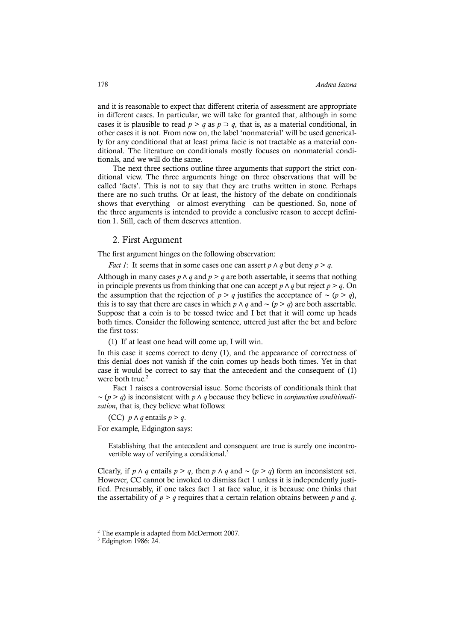and it is reasonable to expect that different criteria of assessment are appropriate in different cases. In particular, we will take for granted that, although in some cases it is plausible to read  $p > q$  as  $p \supset q$ , that is, as a material conditional, in other cases it is not. From now on, the label 'nonmaterial' will be used generically for any conditional that at least prima facie is not tractable as a material conditional. The literature on conditionals mostly focuses on nonmaterial conditionals, and we will do the same.

The next three sections outline three arguments that support the strict conditional view. The three arguments hinge on three observations that will be called 'facts'. This is not to say that they are truths written in stone. Perhaps there are no such truths. Or at least, the history of the debate on conditionals shows that everything—or almost everything—can be questioned. So, none of the three arguments is intended to provide a conclusive reason to accept definition 1. Still, each of them deserves attention.

### 2. First Argument

The first argument hinges on the following observation:

*Fact 1*: It seems that in some cases one can assert  $p \wedge q$  but deny  $p > q$ .

Although in many cases  $p \wedge q$  and  $p > q$  are both assertable, it seems that nothing in principle prevents us from thinking that one can accept *p*  $\land$  *q* but reject *p* > *q*. On the assumption that the rejection of *p* > *q* justifies the acceptance of ~ (*p* > *q*), this is to say that there are cases in which *p* ∧ *q* and ∼ (*p* > *q*) are both assertable. Suppose that a coin is to be tossed twice and I bet that it will come up heads both times. Consider the following sentence, uttered just after the bet and before the first toss:

(1) If at least one head will come up, I will win.

In this case it seems correct to deny (1), and the appearance of correctness of this denial does not vanish if the coin comes up heads both times. Yet in that case it would be correct to say that the antecedent and the consequent of (1) were both true. 2

Fact 1 raises a controversial issue. Some theorists of conditionals think that ∼ (*p* > *q*) is inconsistent with *p* ∧ *q* because they believe in *conjunction conditionalization*, that is, they believe what follows:

(CC)  $p \wedge q$  entails  $p > q$ .

For example, Edgington says:

Establishing that the antecedent and consequent are true is surely one incontrovertible way of verifying a conditional.<sup>3</sup>

Clearly, if *p*  $\land$  *q* entails *p* > *q*, then *p*  $\land$  *q* and ∼ (*p* > *q*) form an inconsistent set. However, CC cannot be invoked to dismiss fact 1 unless it is independently justified. Presumably, if one takes fact 1 at face value, it is because one thinks that the assertability of  $p > q$  requires that a certain relation obtains between  $p$  and  $q$ .

<sup>&</sup>lt;sup>2</sup> The example is adapted from McDermott 2007.

<sup>3</sup> Edgington 1986: 24.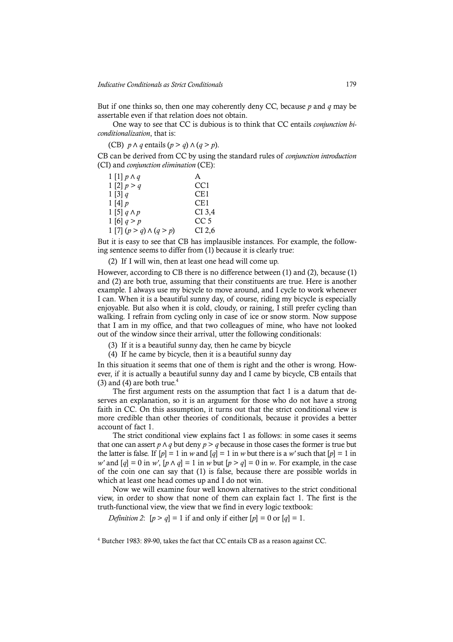But if one thinks so, then one may coherently deny CC, because *p* and *q* may be assertable even if that relation does not obtain.

One way to see that CC is dubious is to think that CC entails *conjunction biconditionalization*, that is:

(CB)  $p \wedge q$  entails  $(p > q) \wedge (q > p)$ .

CB can be derived from CC by using the standard rules of *conjunction introduction* (CI) and *conjunction elimination* (CE):

| $1\left[1\right]p\wedge q$     | A        |
|--------------------------------|----------|
| 1 [2] $p > q$                  | CC1      |
| 1 [3] $q$                      | CE1      |
| $1\left[4\right]$ p            | CE1      |
| $1\left[5\right]q\wedge p$     | CI 3,4   |
| 1 [6] $q > p$                  | CC 5     |
| 1 [7] $(p > q) \wedge (q > p)$ | $CI$ 2,6 |

But it is easy to see that CB has implausible instances. For example, the following sentence seems to differ from (1) because it is clearly true:

(2) If I will win, then at least one head will come up.

However, according to CB there is no difference between (1) and (2), because (1) and (2) are both true, assuming that their constituents are true. Here is another example. I always use my bicycle to move around, and I cycle to work whenever I can. When it is a beautiful sunny day, of course, riding my bicycle is especially enjoyable. But also when it is cold, cloudy, or raining, I still prefer cycling than walking. I refrain from cycling only in case of ice or snow storm. Now suppose that I am in my office, and that two colleagues of mine, who have not looked out of the window since their arrival, utter the following conditionals:

(3) If it is a beautiful sunny day, then he came by bicycle

(4) If he came by bicycle, then it is a beautiful sunny day

In this situation it seems that one of them is right and the other is wrong. However, if it is actually a beautiful sunny day and I came by bicycle, CB entails that (3) and (4) are both true. $4$ 

The first argument rests on the assumption that fact 1 is a datum that deserves an explanation, so it is an argument for those who do not have a strong faith in CC. On this assumption, it turns out that the strict conditional view is more credible than other theories of conditionals, because it provides a better account of fact 1.

The strict conditional view explains fact 1 as follows: in some cases it seems that one can assert  $p \wedge q$  but deny  $p > q$  because in those cases the former is true but the latter is false. If  $[p] = 1$  in *w* and  $[q] = 1$  in *w* but there is a *w'* such that  $[p] = 1$  in *w'* and  $[q] = 0$  in *w'*,  $[p \wedge q] = 1$  in *w* but  $[p > q] = 0$  in *w*. For example, in the case of the coin one can say that (1) is false, because there are possible worlds in which at least one head comes up and I do not win.

Now we will examine four well known alternatives to the strict conditional view, in order to show that none of them can explain fact 1. The first is the truth-functional view, the view that we find in every logic textbook:

*Definition 2*:  $[p > q] = 1$  if and only if either  $[p] = 0$  or  $[q] = 1$ .

<sup>4</sup> Butcher 1983: 89-90, takes the fact that CC entails CB as a reason against CC.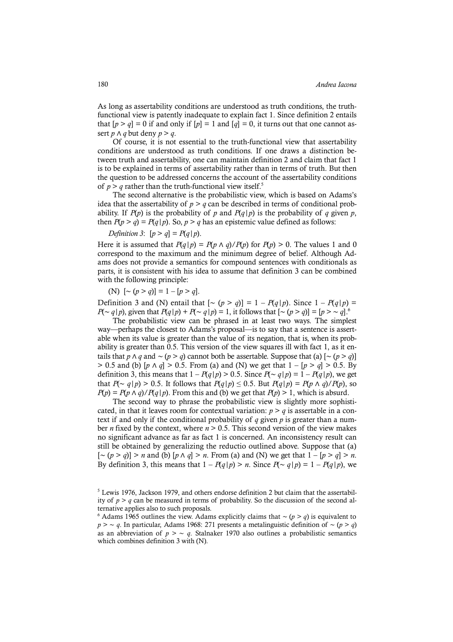As long as assertability conditions are understood as truth conditions, the truthfunctional view is patently inadequate to explain fact 1. Since definition 2 entails that  $[p > q] = 0$  if and only if  $[p] = 1$  and  $[q] = 0$ , it turns out that one cannot assert *p*  $\land$  *q* but deny *p* > *q*.

Of course, it is not essential to the truth-functional view that assertability conditions are understood as truth conditions. If one draws a distinction between truth and assertability, one can maintain definition 2 and claim that fact 1 is to be explained in terms of assertability rather than in terms of truth. But then the question to be addressed concerns the account of the assertability conditions of  $p > q$  rather than the truth-functional view itself.<sup>5</sup>

The second alternative is the probabilistic view, which is based on Adams's idea that the assertability of  $p > q$  can be described in terms of conditional probability. If  $P(p)$  is the probability of p and  $P(q|p)$  is the probability of q given p, then  $P(p > q) = P(q | p)$ . So,  $p > q$  has an epistemic value defined as follows:

*Definition 3*:  $[p > q] = P(q|p)$ .

Here it is assumed that  $P(q|p) = P(p \land q)/P(p)$  for  $P(p) > 0$ . The values 1 and 0 correspond to the maximum and the minimum degree of belief. Although Adams does not provide a semantics for compound sentences with conditionals as parts, it is consistent with his idea to assume that definition 3 can be combined with the following principle:

(N)  $[∼ (p > q)] = 1 - [p > q].$ 

Definition 3 and (N) entail that  $[∼ (p > q)] = 1 - P(q|p)$ . Since  $1 - P(q|p) =$ *P*(∼ *q*|*p*), given that *P*(*q*|*p*) + *P*(∼ *q*|*p*) = 1, it follows that  $[$ ∼ (*p* > *q*)] =  $[p$  > ∼  $q$ ].<sup>6</sup>

The probabilistic view can be phrased in at least two ways. The simplest way—perhaps the closest to Adams's proposal—is to say that a sentence is assertable when its value is greater than the value of its negation, that is, when its probability is greater than 0.5. This version of the view squares ill with fact 1, as it entails that *p* ∧ *q* and ∼ (*p* > *q*) cannot both be assertable. Suppose that (a)  $[~(p > q)$ ] > 0.5 and (b)  $[p \land q] > 0.5$ . From (a) and (N) we get that  $1 - [p > q] > 0.5$ . By definition 3, this means that  $1 - P(q|p) > 0.5$ . Since  $P(∼ q|p) = 1 - P(q|p)$ , we get that *P*(∼ *q*|*p*) > 0.5. It follows that *P*(*q*|*p*) ≤ 0.5. But *P*(*q*|*p*) = *P*(*p* ∧ *q*)/*P*(*p*), so  $P(p) = P(p \land q)/P(q|p)$ . From this and (b) we get that  $P(p) > 1$ , which is absurd.

The second way to phrase the probabilistic view is slightly more sophisticated, in that it leaves room for contextual variation:  $p > q$  is assertable in a context if and only if the conditional probability of *q* given *p* is greater than a number *n* fixed by the context, where  $n > 0.5$ . This second version of the view makes no significant advance as far as fact 1 is concerned. An inconsistency result can still be obtained by generalizing the reductio outlined above. Suppose that (a) [∼ (*p* > *q*)] > *n* and (b) [*p* ∧ *q*] > *n*. From (a) and (N) we get that 1 – [*p* > *q*] > *n*. By definition 3, this means that  $1 - P(q|p) > n$ . Since  $P(\sim q|p) = 1 - P(q|p)$ , we

<sup>5</sup> Lewis 1976, Jackson 1979, and others endorse definition 2 but claim that the assertability of  $p > q$  can be measured in terms of probability. So the discussion of the second alternative applies also to such proposals.

<sup>6</sup> Adams 1965 outlines the view. Adams explicitly claims that ∼ (*p* > *q*) is equivalent to *p* > ∼ *q*. In particular, Adams 1968: 271 presents a metalinguistic definition of ∼ (*p* > *q*) as an abbreviation of  $p > \sim q$ . Stalnaker 1970 also outlines a probabilistic semantics which combines definition 3 with (N).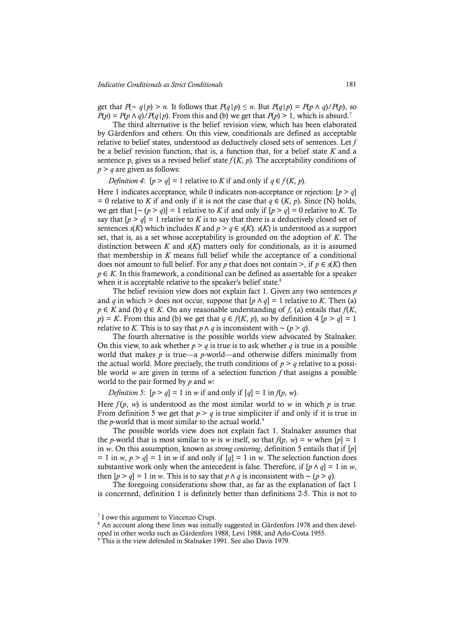get that  $P(\sim q|p) > n$ . It follows that  $P(q|p) \le n$ . But  $P(q|p) = P(p \land q)/P(p)$ , so  $P(p) = P(p \wedge q)/P(q|p)$ . From this and (b) we get that  $P(p) > 1$ , which is absurd.<sup>7</sup>

The third alternative is the belief revision view, which has been elaborated by Gärdenfors and others. On this view, conditionals are defined as acceptable relative to belief states, understood as deductively closed sets of sentences. Let *f*  be a belief revision function, that is, a function that, for a belief state *K* and a sentence p, gives us a revised belief state  $f(K, p)$ . The acceptability conditions of *p* > *q* are given as follows:

*Definition 4*:  $[p > q] = 1$  relative to *K* if and only if  $q \in f(K, p)$ .

Here 1 indicates acceptance, while 0 indicates non-acceptance or rejection:  $[p > q]$ = 0 relative to *K* if and only if it is not the case that  $q \in (K, p)$ . Since (N) holds, we get that  $[∼ (p > q)] = 1$  relative to *K* if and only if  $[p > q] = 0$  relative to *K*. To say that  $[p > q] = 1$  relative to *K* is to say that there is a deductively closed set of sentences *s*(*K*) which includes *K* and  $p > q \in s(K)$ . *s*(*K*) is understood as a support set, that is, as a set whose acceptability is grounded on the adoption of *K*. The distinction between *K* and *s*(*K*) matters only for conditionals, as it is assumed that membership in *K* means full belief while the acceptance of a conditional does not amount to full belief. For any *p* that does not contain >, if  $p \in s(K)$  then *p* ∈ *K*. In this framework, a conditional can be defined as assertable for a speaker when it is acceptable relative to the speaker's belief state.<sup>8</sup>

The belief revision view does not explain fact 1. Given any two sentences *p* and *q* in which > does not occur, suppose that  $[p \land q] = 1$  relative to *K*. Then (a)  $p \in K$  and (b)  $q \in K$ . On any reasonable understanding of *f*, (a) entails that *f*(*K*, *p*) = *K*. From this and (b) we get that  $q \in f(K, p)$ , so by definition 4 [*p* > *q*] = 1 relative to *K*. This is to say that *p* ∧ *q* is inconsistent with ~ (*p* > *q*).

The fourth alternative is the possible worlds view advocated by Stalnaker. On this view, to ask whether  $p > q$  is true is to ask whether  $q$  is true in a possible world that makes *p* is true—a *p*-world—and otherwise differs minimally from the actual world. More precisely, the truth conditions of  $p > q$  relative to a possible world *w* are given in terms of a selection function *f* that assigns a possible world to the pair formed by *p* and *w*:

*Definition 5*:  $[p > q] = 1$  in *w* if and only if  $[q] = 1$  in  $f(p, w)$ .

Here  $f(p, w)$  is understood as the most similar world to *w* in which *p* is true. From definition 5 we get that  $p > q$  is true simpliciter if and only if it is true in the *p*-world that is most similar to the actual world.<sup>9</sup>

The possible worlds view does not explain fact 1. Stalnaker assumes that the *p*-world that is most similar to *w* is *w* itself, so that  $f(p, w) = w$  when  $[p] = 1$ in *w*. On this assumption, known as *strong centering*, definition 5 entails that if [*p*]  $= 1$  in  $w, p > q$ ] = 1 in  $w$  if and only if  $[q] = 1$  in  $w$ . The selection function does substantive work only when the antecedent is false. Therefore, if  $[p \wedge q] = 1$  in *w*, then  $[p > q] = 1$  in *w*. This is to say that *p* ∧ *q* is inconsistent with ~  $(p > q)$ .

The foregoing considerations show that, as far as the explanation of fact 1 is concerned, definition 1 is definitely better than definitions 2-5. This is not to

<sup>7</sup> I owe this argument to Vincenzo Crupi.

<sup>&</sup>lt;sup>8</sup> An account along these lines was initially suggested in Gärdenfors 1978 and then devel-

oped in other works such as Gärdenfors 1988, Levi 1988, and Arlo-Costa 1955.

<sup>9</sup> This is the view defended in Stalnaker 1991. See also Davis 1979.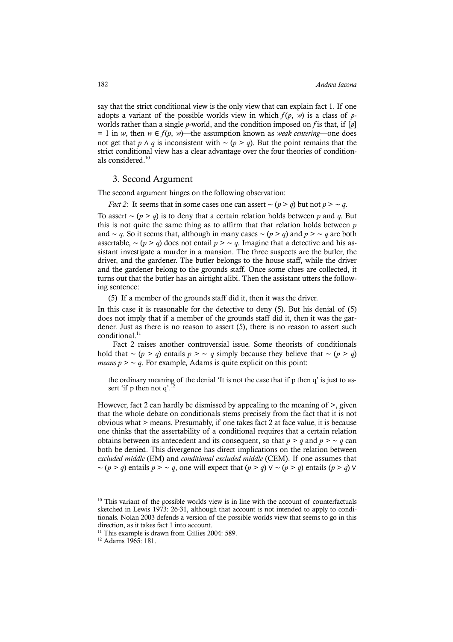say that the strict conditional view is the only view that can explain fact 1. If one adopts a variant of the possible worlds view in which  $f(p, w)$  is a class of *p*worlds rather than a single *p*-world, and the condition imposed on *f* is that, if [*p*]  $= 1$  in *w*, then  $w \in f(p, w)$ —the assumption known as *weak centering*—one does not get that *p* ∧ *q* is inconsistent with ∼ (*p* > *q*). But the point remains that the strict conditional view has a clear advantage over the four theories of conditionals considered. 10

### 3. Second Argument

The second argument hinges on the following observation:

*Fact 2*: It seems that in some cases one can assert ∼ (*p* > *q*) but not *p* > ∼ *q*.

To assert ∼ (*p* > *q*) is to deny that a certain relation holds between *p* and *q*. But this is not quite the same thing as to affirm that that relation holds between *p* and ∼ *q*. So it seems that, although in many cases ∼ (*p* > *q*) and *p* > ∼ *q* are both assertable,  $\sim (p > q)$  does not entail  $p > \sim q$ . Imagine that a detective and his assistant investigate a murder in a mansion. The three suspects are the butler, the driver, and the gardener. The butler belongs to the house staff, while the driver and the gardener belong to the grounds staff. Once some clues are collected, it turns out that the butler has an airtight alibi. Then the assistant utters the following sentence:

(5) If a member of the grounds staff did it, then it was the driver.

In this case it is reasonable for the detective to deny (5). But his denial of (5) does not imply that if a member of the grounds staff did it, then it was the gardener. Just as there is no reason to assert (5), there is no reason to assert such conditional. 11

Fact 2 raises another controversial issue. Some theorists of conditionals hold that ∼ (*p* > *q*) entails *p* > ∼ *q* simply because they believe that ∼ (*p* > *q*) *means*  $p > \sim q$ . For example, Adams is quite explicit on this point:

the ordinary meaning of the denial 'It is not the case that if p then q' is just to assert 'if p then not  $q'$ .

However, fact 2 can hardly be dismissed by appealing to the meaning of >, given that the whole debate on conditionals stems precisely from the fact that it is not obvious what > means. Presumably, if one takes fact 2 at face value, it is because one thinks that the assertability of a conditional requires that a certain relation obtains between its antecedent and its consequent, so that  $p > q$  and  $p > \sim q$  can both be denied. This divergence has direct implications on the relation between *excluded middle* (EM) and *conditional excluded middle* (CEM). If one assumes that ∼ (*p* > *q*) entails *p* > ∼ *q*, one will expect that (*p* > *q*) ∨ ∼ (*p* > *q*) entails (*p* > *q*) ∨

<sup>&</sup>lt;sup>10</sup> This variant of the possible worlds view is in line with the account of counterfactuals sketched in Lewis 1973: 26-31, although that account is not intended to apply to conditionals. Nolan 2003 defends a version of the possible worlds view that seems to go in this direction, as it takes fact 1 into account.<br><sup>11</sup> This example is drawn from Gillies 2004: 589.

<sup>12</sup> Adams 1965: 181.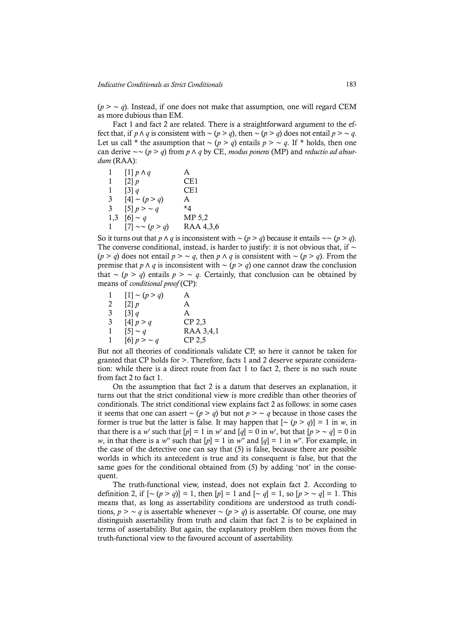(*p* > ∼ *q*). Instead, if one does not make that assumption, one will regard CEM as more dubious than EM.

Fact 1 and fact 2 are related. There is a straightforward argument to the effect that, if *p* ∧ *q* is consistent with ∼ (*p* > *q*), then ∼ (*p* > *q*) does not entail *p* > ∼ *q*. Let us call \* the assumption that ∼ (*p* > *q*) entails *p* > ∼ *q*. If \* holds, then one can derive ∼∼ (*p* > *q*) from *p* ∧ *q* by CE, *modus ponens* (MP) and *reductio ad absurdum* (RAA):

| 1.           | $[1] p \wedge q$    | A         |
|--------------|---------------------|-----------|
| 1            | $\lceil 2 \rceil p$ | CE1       |
| 1            | $\left[3\right]$ q  | CE1       |
| 3            | $[4] \sim (p > q)$  | A         |
| 3            | [5] $p > \sim q$    | *4        |
| 1,3          | $[6] \sim q$        | MP 5,2    |
| $\mathbf{1}$ | $[7] \sim (p > q)$  | RAA 4,3,6 |

So it turns out that *p* ∧ *q* is inconsistent with ∼ (*p* > *q*) because it entails ∼∼ (*p* > *q*). The converse conditional, instead, is harder to justify: it is not obvious that, if ∼ (*p* > *q*) does not entail *p* > ∼ *q*, then *p* ∧ *q* is consistent with ∼ (*p* > *q*). From the premise that *p* ∧ *q* is inconsistent with ∼ (*p* > *q*) one cannot draw the conclusion that ∼ (*p* > *q*) entails *p* > ∼ *q*. Certainly, that conclusion can be obtained by means of *conditional proof* (CP):

| 1 | $[1] \sim (p > q)$ | A         |
|---|--------------------|-----------|
| 2 | $\left[2\right]$ p | A         |
| 3 | $\left[3\right]$ q | A         |
| 3 | $[4]$ $p > q$      | $CP$ 2,3  |
| 1 | $[5] \sim q$       | RAA 3,4,1 |
| 1 | [6] $p > \sim q$   | CP 2,5    |

But not all theories of conditionals validate CP, so here it cannot be taken for granted that CP holds for >. Therefore, facts 1 and 2 deserve separate consideration: while there is a direct route from fact 1 to fact 2, there is no such route from fact 2 to fact 1.

On the assumption that fact 2 is a datum that deserves an explanation, it turns out that the strict conditional view is more credible than other theories of conditionals. The strict conditional view explains fact 2 as follows: in some cases it seems that one can assert ∼ (*p* > *q*) but not *p* > ∼ *q* because in those cases the former is true but the latter is false. It may happen that  $[~(p > q)]=1$  in *w*, in that there is a *w*' such that  $[p] = 1$  in *w*' and  $[q] = 0$  in *w*', but that  $[p > \sim q] = 0$  in *w*, in that there is a *w*<sup>*''*</sup> such that  $[p] = 1$  in *w*<sup>*''*</sup> and  $[q] = 1$  in *w*<sup>*''*</sup>. For example, in the case of the detective one can say that (5) is false, because there are possible worlds in which its antecedent is true and its consequent is false, but that the same goes for the conditional obtained from (5) by adding 'not' in the consequent.

The truth-functional view, instead, does not explain fact 2. According to definition 2, if  $[∼ (p > q)] = 1$ , then  $[p] = 1$  and  $[∼ q] = 1$ , so  $[p > ∼ q] = 1$ . This means that, as long as assertability conditions are understood as truth conditions,  $p > \sim q$  is assertable whenever  $\sim (p > q)$  is assertable. Of course, one may distinguish assertability from truth and claim that fact 2 is to be explained in terms of assertability. But again, the explanatory problem then moves from the truth-functional view to the favoured account of assertability.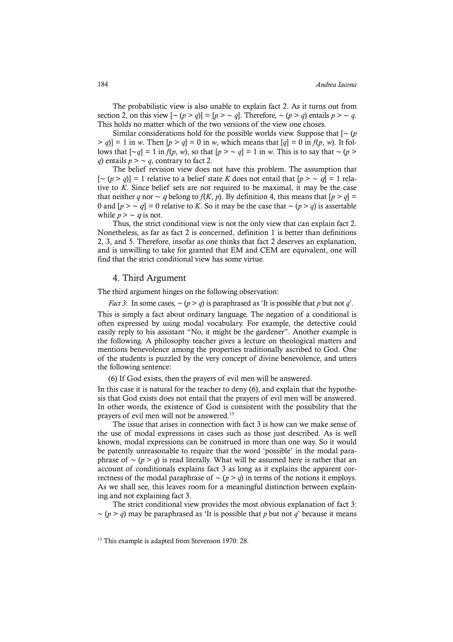The probabilistic view is also unable to explain fact 2. As it turns out from section 2, on this view  $[\sim (p > q)] = [p > \sim q]$ . Therefore,  $\sim (p > q)$  entails  $p > \sim q$ . This holds no matter which of the two versions of the view one choses.

Similar considerations hold for the possible worlds view. Suppose that [∼ (*p*  $> q$ ] = 1 in *w*. Then  $[p > q] = 0$  in *w*, which means that  $[q] = 0$  in  $f(p, w)$ . It follows that  $\lceil ∞ q \rceil = 1$  in *f*(*p*, *w*), so that  $\lceil p \rceil > ∼ q \rceil = 1$  in *w*. This is to say that ∼ (*p* > *q*) entails *p* > ∼ *q*, contrary to fact 2.

The belief revision view does not have this problem. The assumption that [∼ (*p* > *q*)] = 1 relative to a belief state *K* does not entail that [*p* > ∼ <sup>q</sup>] = 1 relative to *K*. Since belief sets are not required to be maximal, it may be the case that neither *q* nor ∼ *q* belong to *f*(*K*, *p*). By definition 4, this means that  $[p > q]$  = 0 and [*p* > ∼ <sup>q</sup>] = 0 relative to *K*. So it may be the case that ∼ (*p* > *q*) is assertable while  $p > \sim q$  is not.

Thus, the strict conditional view is not the only view that can explain fact 2. Nonetheless, as far as fact 2 is concerned, definition 1 is better than definitions 2, 3, and 5. Therefore, insofar as one thinks that fact 2 deserves an explanation, and is unwilling to take for granted that EM and CEM are equivalent, one will find that the strict conditional view has some virtue.

#### 4. Third Argument

The third argument hinges on the following observation:

*Fact 3*: In some cases, ∼ (*p* > *q*) is paraphrased as 'It is possible that *p* but not *q*'. This is simply a fact about ordinary language. The negation of a conditional is often expressed by using modal vocabulary. For example, the detective could easily reply to his assistant "No, it might be the gardener". Another example is the following. A philosophy teacher gives a lecture on theological matters and mentions benevolence among the properties traditionally ascribed to God. One of the students is puzzled by the very concept of divine benevolence, and utters the following sentence:

(6) If God exists, then the prayers of evil men will be answered.

In this case it is natural for the teacher to deny (6), and explain that the hypothesis that God exists does not entail that the prayers of evil men will be answered. In other words, the existence of God is consistent with the possibility that the prayers of evil men will not be answered.<sup>13</sup>

The issue that arises in connection with fact 3 is how can we make sense of the use of modal expressions in cases such as those just described. As is well known, modal expressions can be construed in more than one way. So it would be patently unreasonable to require that the word 'possible' in the modal paraphrase of ∼ (*p* > *q*) is read literally. What will be assumed here is rather that an account of conditionals explains fact 3 as long as it explains the apparent correctness of the modal paraphrase of ∼ (*p* > *q*) in terms of the notions it employs. As we shall see, this leaves room for a meaningful distinction between explaining and not explaining fact 3.

The strict conditional view provides the most obvious explanation of fact 3: ∼ (*p* > *q*) may be paraphrased as 'It is possible that *p* but not *q*' because it means

<sup>&</sup>lt;sup>13</sup> This example is adapted from Stevenson 1970: 28.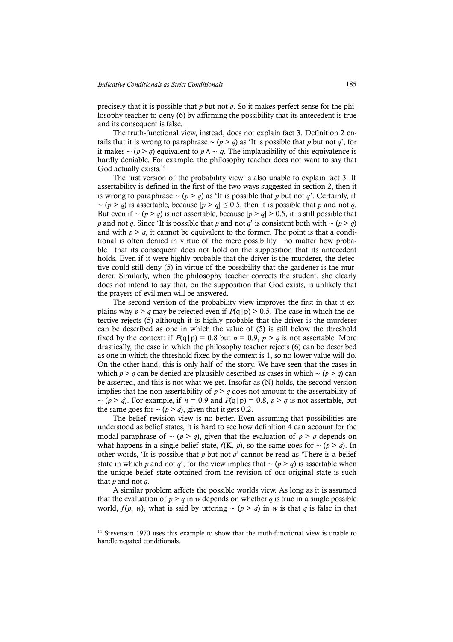precisely that it is possible that *p* but not *q*. So it makes perfect sense for the philosophy teacher to deny (6) by affirming the possibility that its antecedent is true and its consequent is false.

The truth-functional view, instead, does not explain fact 3. Definition 2 entails that it is wrong to paraphrase  $∼ (p > q)$  as 'It is possible that *p* but not *q*', for it makes ∼ (*p* > *q*) equivalent to *p*  $\land$  ∼ *q*. The implausibility of this equivalence is hardly deniable. For example, the philosophy teacher does not want to say that God actually exists.<sup>14</sup>

The first version of the probability view is also unable to explain fact 3. If assertability is defined in the first of the two ways suggested in section 2, then it is wrong to paraphrase ∼ (*p* > *q*) as 'It is possible that *p* but not *q*'. Certainly, if ∼ (*p* > *q*) is assertable, because [*p* > *q*] ≤ 0.5, then it is possible that *p* and not *q*. But even if  $\sim (p > q)$  is not assertable, because  $[p > q] > 0.5$ , it is still possible that *p* and not *q*. Since 'It is possible that *p* and not *q*' is consistent both with ∼ (*p* > *q*) and with  $p > q$ , it cannot be equivalent to the former. The point is that a conditional is often denied in virtue of the mere possibility—no matter how probable—that its consequent does not hold on the supposition that its antecedent holds. Even if it were highly probable that the driver is the murderer, the detective could still deny (5) in virtue of the possibility that the gardener is the murderer. Similarly, when the philosophy teacher corrects the student, she clearly does not intend to say that, on the supposition that God exists, is unlikely that the prayers of evil men will be answered.

The second version of the probability view improves the first in that it explains why  $p > q$  may be rejected even if  $P(q|p) > 0.5$ . The case in which the detective rejects (5) although it is highly probable that the driver is the murderer can be described as one in which the value of (5) is still below the threshold fixed by the context: if  $P(q|p) = 0.8$  but  $n = 0.9$ ,  $p > q$  is not assertable. More drastically, the case in which the philosophy teacher rejects (6) can be described as one in which the threshold fixed by the context is 1, so no lower value will do. On the other hand, this is only half of the story. We have seen that the cases in which *p* > *q* can be denied are plausibly described as cases in which ∼ (*p* > *q*) can be asserted, and this is not what we get. Insofar as (N) holds, the second version implies that the non-assertability of  $p > q$  does not amount to the assertability of ∼ (*p* > *q*). For example, if *n* = 0.9 and *P*(q|p) = 0.8, *p* > *q* is not assertable, but the same goes for  $\sim (p > q)$ , given that it gets 0.2.

The belief revision view is no better. Even assuming that possibilities are understood as belief states, it is hard to see how definition 4 can account for the modal paraphrase of ∼ (*p* > *q*), given that the evaluation of *p* > *q* depends on what happens in a single belief state,  $f(K, p)$ , so the same goes for ~  $(p > q)$ . In other words, 'It is possible that *p* but not *q*' cannot be read as 'There is a belief state in which *p* and not *q*', for the view implies that ∼ (*p* > *q*) is assertable when the unique belief state obtained from the revision of our original state is such that *p* and not *q*.

A similar problem affects the possible worlds view. As long as it is assumed that the evaluation of  $p > q$  in *w* depends on whether *q* is true in a single possible world,  $f(p, w)$ , what is said by uttering ~  $(p > q)$  in *w* is that *q* is false in that

<sup>&</sup>lt;sup>14</sup> Stevenson 1970 uses this example to show that the truth-functional view is unable to handle negated conditionals.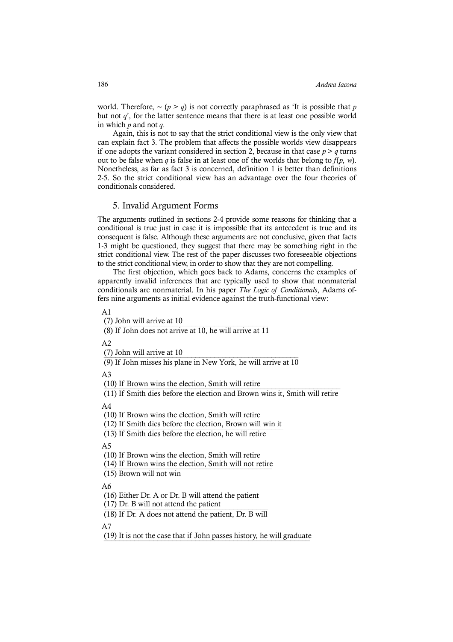world. Therefore, ∼ (*p* > *q*) is not correctly paraphrased as 'It is possible that *p*  but not  $q'$ , for the latter sentence means that there is at least one possible world in which *p* and not *q*.

Again, this is not to say that the strict conditional view is the only view that can explain fact 3. The problem that affects the possible worlds view disappears if one adopts the variant considered in section 2, because in that case  $p > q$  turns out to be false when *q* is false in at least one of the worlds that belong to  $f(p, w)$ . Nonetheless, as far as fact 3 is concerned, definition 1 is better than definitions 2-5. So the strict conditional view has an advantage over the four theories of conditionals considered.

# 5. Invalid Argument Forms

The arguments outlined in sections 2-4 provide some reasons for thinking that a conditional is true just in case it is impossible that its antecedent is true and its consequent is false. Although these arguments are not conclusive, given that facts 1-3 might be questioned, they suggest that there may be something right in the strict conditional view. The rest of the paper discusses two foreseeable objections to the strict conditional view, in order to show that they are not compelling.

The first objection, which goes back to Adams, concerns the examples of apparently invalid inferences that are typically used to show that nonmaterial conditionals are nonmaterial. In his paper *The Logic of Conditionals*, Adams offers nine arguments as initial evidence against the truth-functional view:

#### $A<sub>1</sub>$

(7) John will arrive at 10

 $\frac{1}{(8)}$  If John does not arrive at 10, he will arrive at 11

 $A<sub>2</sub>$ 

(7) John will arrive at 10

 $(9)$  If John misses his plane in New York, he will arrive at  $10$ 

A3

(10) If Brown wins the election, Smith will retire

 $(11)$  If Smith dies before the election and Brown wins it, Smith will retire

 $A<sub>4</sub>$ 

(10) If Brown wins the election, Smith will retire

(12) If Smith dies before the election, Brown will win it

 $(13)$  If Smith dies before the election, he will retire

 $\Delta$ 5

(10) If Brown wins the election, Smith will retire

(14) If Brown wins the election, Smith will not retire

 $(15)$  Brown will not win

A6

(16) Either Dr. A or Dr. B will attend the patient

(17) Dr. B will not attend the patient

 $(18)$  If Dr. A does not attend the patient, Dr. B will

A7

(19) It is not the case that if John passes history, he will graduate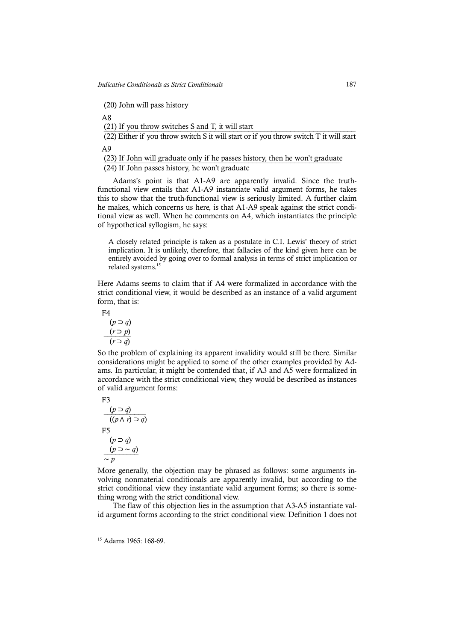(20) John will pass history

A8

(21) If you throw switches S and T, it will start

(22) Either if you throw switch S it will start or if you throw switch T it will start  $(22)$ A9

(23) If John will graduate only if he passes history, then he won't graduate

¾¾¾¾¾¾¾¾¾¾¾¾¾¾¾¾¾¾¾¾¾¾¾¾¾¾¾¾¾¾¾¾¾¾¾¾¾¾¾¾¾¾¾¾¾¾¾¾¾¾¾¾¾¾¾¾¾¾¾¾¾¾ (24) If John passes history, he won't graduate

Adams's point is that A1-A9 are apparently invalid. Since the truthfunctional view entails that A1-A9 instantiate valid argument forms, he takes this to show that the truth-functional view is seriously limited. A further claim he makes, which concerns us here, is that A1-A9 speak against the strict conditional view as well. When he comments on A4, which instantiates the principle of hypothetical syllogism, he says:

A closely related principle is taken as a postulate in C.I. Lewis' theory of strict implication. It is unlikely, therefore, that fallacies of the kind given here can be entirely avoided by going over to formal analysis in terms of strict implication or related systems. 15

Here Adams seems to claim that if A4 were formalized in accordance with the strict conditional view, it would be described as an instance of a valid argument form, that is:

F4

(*p* ⊃ *q*)  $(r \supset p)$ (*r* ⊃ *q*)

So the problem of explaining its apparent invalidity would still be there. Similar considerations might be applied to some of the other examples provided by Adams. In particular, it might be contended that, if A3 and A5 were formalized in accordance with the strict conditional view, they would be described as instances of valid argument forms:

 F3  $(p ⊃ q)$ ((*p* ∧ *r*) ⊃ *q*) F5 (*p* ⊃ *q*)  $(p$  ⊃ ~  $q$ ∼ *p*

More generally, the objection may be phrased as follows: some arguments involving nonmaterial conditionals are apparently invalid, but according to the strict conditional view they instantiate valid argument forms; so there is something wrong with the strict conditional view.

The flaw of this objection lies in the assumption that A3-A5 instantiate valid argument forms according to the strict conditional view. Definition 1 does not

<sup>15</sup> Adams 1965: 168-69.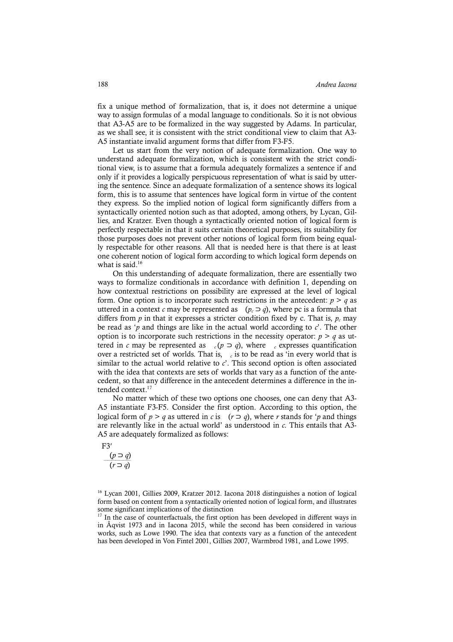fix a unique method of formalization, that is, it does not determine a unique way to assign formulas of a modal language to conditionals. So it is not obvious that A3-A5 are to be formalized in the way suggested by Adams. In particular, as we shall see, it is consistent with the strict conditional view to claim that A3- A5 instantiate invalid argument forms that differ from F3-F5.

Let us start from the very notion of adequate formalization. One way to understand adequate formalization, which is consistent with the strict conditional view, is to assume that a formula adequately formalizes a sentence if and only if it provides a logically perspicuous representation of what is said by uttering the sentence. Since an adequate formalization of a sentence shows its logical form, this is to assume that sentences have logical form in virtue of the content they express. So the implied notion of logical form significantly differs from a syntactically oriented notion such as that adopted, among others, by Lycan, Gillies, and Kratzer. Even though a syntactically oriented notion of logical form is perfectly respectable in that it suits certain theoretical purposes, its suitability for those purposes does not prevent other notions of logical form from being equally respectable for other reasons. All that is needed here is that there is at least one coherent notion of logical form according to which logical form depends on what is said.<sup>16</sup>

On this understanding of adequate formalization, there are essentially two ways to formalize conditionals in accordance with definition 1, depending on how contextual restrictions on possibility are expressed at the level of logical form. One option is to incorporate such restrictions in the antecedent:  $p > q$  as uttered in a context *c* may be represented as  $(p_c \supset q)$ , where pc is a formula that differs from  $p$  in that it expresses a stricter condition fixed by c. That is,  $p_c$  may be read as 'p and things are like in the actual world according to  $c'$ . The other option is to incorporate such restrictions in the necessity operator:  $p > q$  as uttered in *c* may be represented as  $c(p \supset q)$ , where *c* expresses quantification over a restricted set of worlds. That is, *<sup>c</sup>* is to be read as 'in every world that is similar to the actual world relative to *c*'. This second option is often associated with the idea that contexts are sets of worlds that vary as a function of the antecedent, so that any difference in the antecedent determines a difference in the intended context. 17

No matter which of these two options one chooses, one can deny that A3- A5 instantiate F3-F5. Consider the first option. According to this option, the logical form of  $p > q$  as uttered in *c* is  $(r \supset q)$ , where *r* stands for '*p* and things are relevantly like in the actual world' as understood in *c*. This entails that A3- A5 are adequately formalized as follows:

F3′

 $(p ⊃ q)$  $(r \supset q)$ 

<sup>16</sup> Lycan 2001, Gillies 2009, Kratzer 2012. Iacona 2018 distinguishes a notion of logical form based on content from a syntactically oriented notion of logical form, and illustrates some significant implications of the distinction

<sup>17</sup> In the case of counterfactuals, the first option has been developed in different ways in in Åqvist 1973 and in Iacona 2015, while the second has been considered in various works, such as Lowe 1990. The idea that contexts vary as a function of the antecedent has been developed in Von Fintel 2001, Gillies 2007, Warmbrod 1981, and Lowe 1995.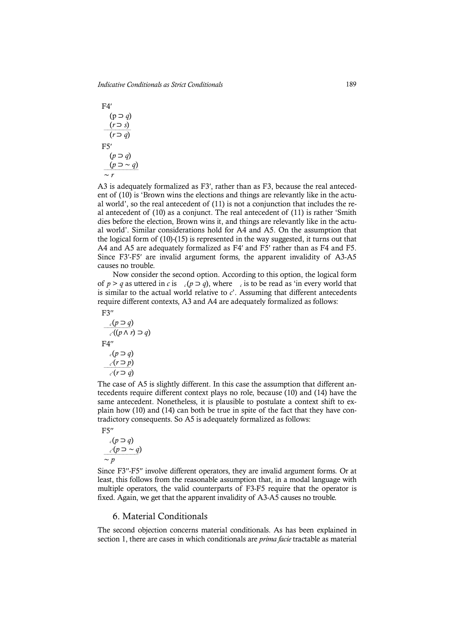$$
F4'\n\text{(p } \Rightarrow q)\n\qquad\n\frac{(r \Rightarrow s)}{(r \Rightarrow q)}\n\qquad\n\text{F5'}\n\qquad\n\frac{(p \Rightarrow q)}{(p \Rightarrow \sim q)}\n\qquad\n\frac{(p \Rightarrow q)}{\sim r}
$$

A3 is adequately formalized as F3′, rather than as F3, because the real antecedent of (10) is 'Brown wins the elections and things are relevantly like in the actual world', so the real antecedent of (11) is not a conjunction that includes the real antecedent of (10) as a conjunct. The real antecedent of (11) is rather 'Smith dies before the election, Brown wins it, and things are relevantly like in the actual world'. Similar considerations hold for A4 and A5. On the assumption that the logical form of (10)-(15) is represented in the way suggested, it turns out that A4 and A5 are adequately formalized as F4′ and F5′ rather than as F4 and F5. Since F3′-F5′ are invalid argument forms, the apparent invalidity of A3-A5 causes no trouble.

Now consider the second option. According to this option, the logical form of  $p > q$  as uttered in *c* is  $c(p \supset q)$ , where  $c \in \mathcal{C}$  is to be read as 'in every world that is similar to the actual world relative to  $c'$ . Assuming that different antecedents require different contexts, A3 and A4 are adequately formalized as follows:

$$
F3''
$$

 $$ *c′*((*p* ∧ *r*) ⊃ *q*) F4′′ *c*(*p* ⊃ *q*)  $\frac{c'}{f(x)}$  ⊃ *p*) *c′*(*r* ⊃ *q*)

The case of A5 is slightly different. In this case the assumption that different antecedents require different context plays no role, because (10) and (14) have the same antecedent. Nonetheless, it is plausible to postulate a context shift to explain how (10) and (14) can both be true in spite of the fact that they have contradictory consequents. So A5 is adequately formalized as follows:

 $F5''$ 

$$
c(p \supset q)
$$
  

$$
c'(p \supset \sim q)
$$
  

$$
\sim p
$$

Since F3′′-F5′′ involve different operators, they are invalid argument forms. Or at least, this follows from the reasonable assumption that, in a modal language with multiple operators, the valid counterparts of F3-F5 require that the operator is fixed. Again, we get that the apparent invalidity of A3-A5 causes no trouble.

# 6. Material Conditionals

The second objection concerns material conditionals. As has been explained in section 1, there are cases in which conditionals are *prima facie* tractable as material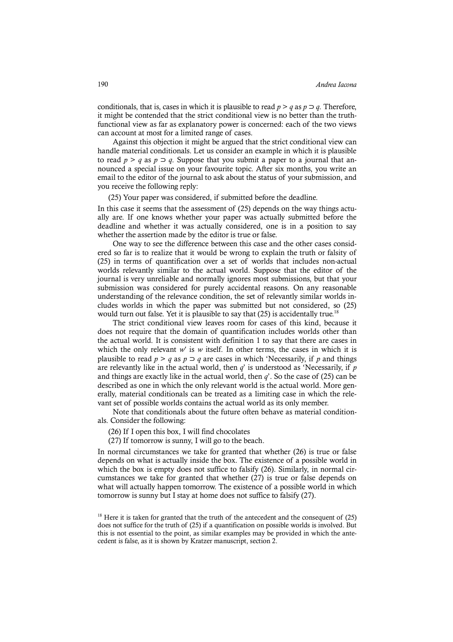conditionals, that is, cases in which it is plausible to read  $p > q$  as  $p \supset q$ . Therefore, it might be contended that the strict conditional view is no better than the truthfunctional view as far as explanatory power is concerned: each of the two views can account at most for a limited range of cases.

Against this objection it might be argued that the strict conditional view can handle material conditionals. Let us consider an example in which it is plausible to read  $p > q$  as  $p \supset q$ . Suppose that you submit a paper to a journal that announced a special issue on your favourite topic. After six months, you write an email to the editor of the journal to ask about the status of your submission, and you receive the following reply:

(25) Your paper was considered, if submitted before the deadline.

In this case it seems that the assessment of (25) depends on the way things actually are. If one knows whether your paper was actually submitted before the deadline and whether it was actually considered, one is in a position to say whether the assertion made by the editor is true or false.

One way to see the difference between this case and the other cases considered so far is to realize that it would be wrong to explain the truth or falsity of (25) in terms of quantification over a set of worlds that includes non-actual worlds relevantly similar to the actual world. Suppose that the editor of the journal is very unreliable and normally ignores most submissions, but that your submission was considered for purely accidental reasons. On any reasonable understanding of the relevance condition, the set of relevantly similar worlds includes worlds in which the paper was submitted but not considered, so (25) would turn out false. Yet it is plausible to say that  $(25)$  is accidentally true.<sup>18</sup>

The strict conditional view leaves room for cases of this kind, because it does not require that the domain of quantification includes worlds other than the actual world. It is consistent with definition 1 to say that there are cases in which the only relevant  $w'$  is  $w$  itself. In other terms, the cases in which it is plausible to read  $p > q$  as  $p \supset q$  are cases in which 'Necessarily, if p and things are relevantly like in the actual world, then *q*' is understood as 'Necessarily, if *p*  and things are exactly like in the actual world, then *q*'. So the case of (25) can be described as one in which the only relevant world is the actual world. More generally, material conditionals can be treated as a limiting case in which the relevant set of possible worlds contains the actual world as its only member.

Note that conditionals about the future often behave as material conditionals. Consider the following:

- (26) If I open this box, I will find chocolates
- (27) If tomorrow is sunny, I will go to the beach.

In normal circumstances we take for granted that whether (26) is true or false depends on what is actually inside the box. The existence of a possible world in which the box is empty does not suffice to falsify (26). Similarly, in normal circumstances we take for granted that whether (27) is true or false depends on what will actually happen tomorrow. The existence of a possible world in which tomorrow is sunny but I stay at home does not suffice to falsify (27).

 $18$  Here it is taken for granted that the truth of the antecedent and the consequent of  $(25)$ does not suffice for the truth of (25) if a quantification on possible worlds is involved. But this is not essential to the point, as similar examples may be provided in which the antecedent is false, as it is shown by Kratzer manuscript, section 2.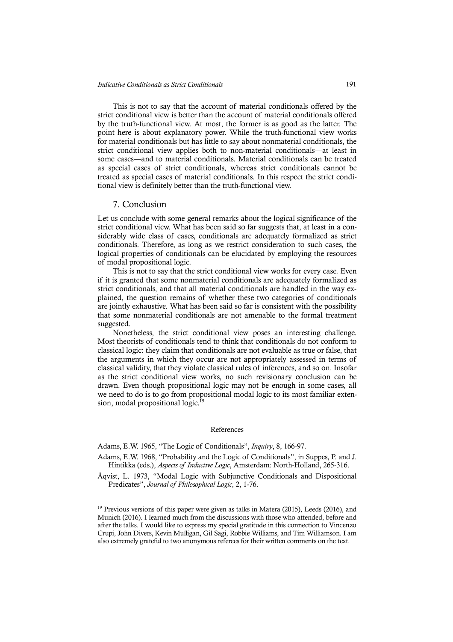This is not to say that the account of material conditionals offered by the strict conditional view is better than the account of material conditionals offered by the truth-functional view. At most, the former is as good as the latter. The point here is about explanatory power. While the truth-functional view works for material conditionals but has little to say about nonmaterial conditionals, the strict conditional view applies both to non-material conditionals—at least in some cases—and to material conditionals. Material conditionals can be treated as special cases of strict conditionals, whereas strict conditionals cannot be treated as special cases of material conditionals. In this respect the strict conditional view is definitely better than the truth-functional view.

#### 7. Conclusion

Let us conclude with some general remarks about the logical significance of the strict conditional view. What has been said so far suggests that, at least in a considerably wide class of cases, conditionals are adequately formalized as strict conditionals. Therefore, as long as we restrict consideration to such cases, the logical properties of conditionals can be elucidated by employing the resources of modal propositional logic.

This is not to say that the strict conditional view works for every case. Even if it is granted that some nonmaterial conditionals are adequately formalized as strict conditionals, and that all material conditionals are handled in the way explained, the question remains of whether these two categories of conditionals are jointly exhaustive. What has been said so far is consistent with the possibility that some nonmaterial conditionals are not amenable to the formal treatment suggested.

Nonetheless, the strict conditional view poses an interesting challenge. Most theorists of conditionals tend to think that conditionals do not conform to classical logic: they claim that conditionals are not evaluable as true or false, that the arguments in which they occur are not appropriately assessed in terms of classical validity, that they violate classical rules of inferences, and so on. Insofar as the strict conditional view works, no such revisionary conclusion can be drawn. Even though propositional logic may not be enough in some cases, all we need to do is to go from propositional modal logic to its most familiar extension, modal propositional logic.<sup>19</sup>

#### References

Adams, E.W. 1965, "The Logic of Conditionals", *Inquiry*, 8, 166-97.

Adams, E.W. 1968, "Probability and the Logic of Conditionals", in Suppes, P. and J. Hintikka (eds.), *Aspects of Inductive Logic*, Amsterdam: North-Holland, 265-316.

Åqvist, L. 1973, "Modal Logic with Subjunctive Conditionals and Dispositional Predicates", *Journal of Philosophical Logic*, 2, 1-76.

 $19$  Previous versions of this paper were given as talks in Matera (2015), Leeds (2016), and Munich (2016). I learned much from the discussions with those who attended, before and after the talks. I would like to express my special gratitude in this connection to Vincenzo Crupi, John Divers, Kevin Mulligan, Gil Sagi, Robbie Williams, and Tim Williamson. I am also extremely grateful to two anonymous referees for their written comments on the text.